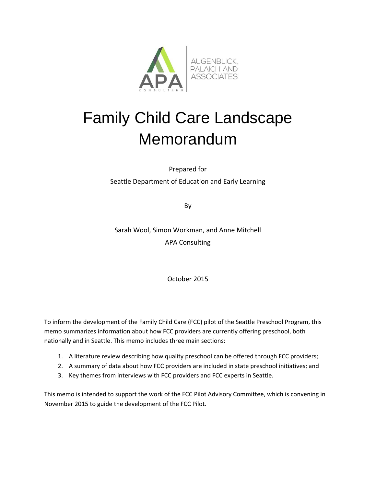

# Family Child Care Landscape Memorandum

Prepared for Seattle Department of Education and Early Learning

By

Sarah Wool, Simon Workman, and Anne Mitchell APA Consulting

October 2015

To inform the development of the Family Child Care (FCC) pilot of the Seattle Preschool Program, this memo summarizes information about how FCC providers are currently offering preschool, both nationally and in Seattle. This memo includes three main sections:

- 1. A literature review describing how quality preschool can be offered through FCC providers;
- 2. A summary of data about how FCC providers are included in state preschool initiatives; and
- 3. Key themes from interviews with FCC providers and FCC experts in Seattle.

This memo is intended to support the work of the FCC Pilot Advisory Committee, which is convening in November 2015 to guide the development of the FCC Pilot.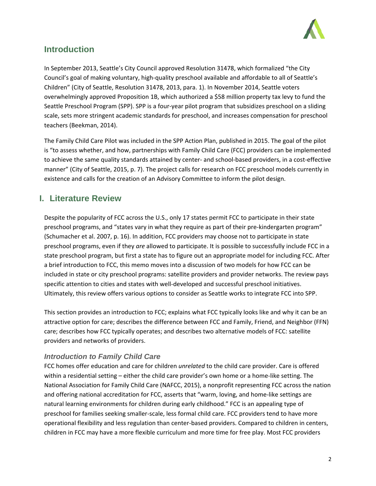

# **Introduction**

In September 2013, Seattle's City Council approved Resolution 31478, which formalized "the City Council's goal of making voluntary, high‐quality preschool available and affordable to all of Seattle's Children" (City of Seattle, Resolution 31478, 2013, para. 1). In November 2014, Seattle voters overwhelmingly approved Proposition 1B, which authorized a \$58 million property tax levy to fund the Seattle Preschool Program (SPP). SPP is a four‐year pilot program that subsidizes preschool on a sliding scale, sets more stringent academic standards for preschool, and increases compensation for preschool teachers (Beekman, 2014).

The Family Child Care Pilot was included in the SPP Action Plan, published in 2015. The goal of the pilot is "to assess whether, and how, partnerships with Family Child Care (FCC) providers can be implemented to achieve the same quality standards attained by center‐ and school‐based providers, in a cost‐effective manner" (City of Seattle, 2015, p. 7). The project calls for research on FCC preschool models currently in existence and calls for the creation of an Advisory Committee to inform the pilot design.

# **I. Literature Review**

Despite the popularity of FCC across the U.S., only 17 states permit FCC to participate in their state preschool programs, and "states vary in what they require as part of their pre-kindergarten program" (Schumacher et al. 2007, p. 16). In addition, FCC providers may choose not to participate in state preschool programs, even if they *are* allowed to participate. It is possible to successfully include FCC in a state preschool program, but first a state has to figure out an appropriate model for including FCC. After a brief introduction to FCC, this memo moves into a discussion of two models for how FCC can be included in state or city preschool programs: satellite providers and provider networks. The review pays specific attention to cities and states with well-developed and successful preschool initiatives. Ultimately, this review offers various options to consider as Seattle works to integrate FCC into SPP.

This section provides an introduction to FCC; explains what FCC typically looks like and why it can be an attractive option for care; describes the difference between FCC and Family, Friend, and Neighbor (FFN) care; describes how FCC typically operates; and describes two alternative models of FCC: satellite providers and networks of providers.

## *Introduction to Family Child Care*

FCC homes offer education and care for children *unrelated* to the child care provider. Care is offered within a residential setting – either the child care provider's own home or a home‐like setting. The National Association for Family Child Care (NAFCC, 2015), a nonprofit representing FCC across the nation and offering national accreditation for FCC, asserts that "warm, loving, and home‐like settings are natural learning environments for children during early childhood." FCC is an appealing type of preschool for families seeking smaller‐scale, less formal child care. FCC providers tend to have more operational flexibility and less regulation than center‐based providers. Compared to children in centers, children in FCC may have a more flexible curriculum and more time for free play. Most FCC providers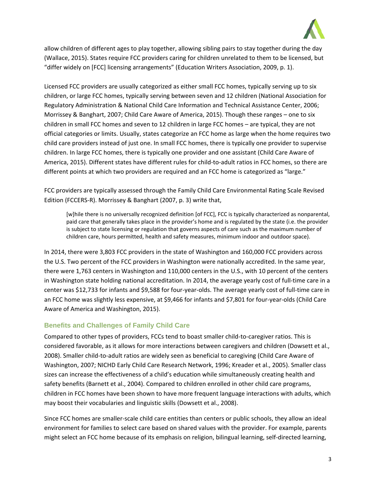

allow children of different ages to play together, allowing sibling pairs to stay together during the day (Wallace, 2015). States require FCC providers caring for children unrelated to them to be licensed, but "differ widely on [FCC] licensing arrangements" (Education Writers Association, 2009, p. 1).

Licensed FCC providers are usually categorized as either small FCC homes, typically serving up to six children, or large FCC homes, typically serving between seven and 12 children (National Association for Regulatory Administration & National Child Care Information and Technical Assistance Center, 2006; Morrissey & Banghart, 2007; Child Care Aware of America, 2015). Though these ranges – one to six children in small FCC homes and seven to 12 children in large FCC homes – are typical, they are not official categories or limits. Usually, states categorize an FCC home as large when the home requires two child care providers instead of just one. In small FCC homes, there is typically one provider to supervise children. In large FCC homes, there is typically one provider and one assistant (Child Care Aware of America, 2015). Different states have different rules for child‐to‐adult ratios in FCC homes, so there are different points at which two providers are required and an FCC home is categorized as "large."

FCC providers are typically assessed through the Family Child Care Environmental Rating Scale Revised Edition (FCCERS‐R). Morrissey & Banghart (2007, p. 3) write that,

[w]hile there is no universally recognized definition [of FCC], FCC is typically characterized as nonparental, paid care that generally takes place in the provider's home and is regulated by the state (i.e. the provider is subject to state licensing or regulation that governs aspects of care such as the maximum number of children care, hours permitted, health and safety measures, minimum indoor and outdoor space).

In 2014, there were 3,803 FCC providers in the state of Washington and 160,000 FCC providers across the U.S. Two percent of the FCC providers in Washington were nationally accredited. In the same year, there were 1,763 centers in Washington and 110,000 centers in the U.S., with 10 percent of the centers in Washington state holding national accreditation. In 2014, the average yearly cost of full‐time care in a center was \$12,733 for infants and \$9,588 for four‐year‐olds. The average yearly cost of full‐time care in an FCC home was slightly less expensive, at \$9,466 for infants and \$7,801 for four‐year‐olds (Child Care Aware of America and Washington, 2015).

## **Benefits and Challenges of Family Child Care**

Compared to other types of providers, FCCs tend to boast smaller child‐to‐caregiver ratios. This is considered favorable, as it allows for more interactions between caregivers and children (Dowsett et al., 2008). Smaller child‐to‐adult ratios are widely seen as beneficial to caregiving (Child Care Aware of Washington, 2007; NICHD Early Child Care Research Network, 1996; Kreader et al., 2005). Smaller class sizes can increase the effectiveness of a child's education while simultaneously creating health and safety benefits (Barnett et al., 2004). Compared to children enrolled in other child care programs, children in FCC homes have been shown to have more frequent language interactions with adults, which may boost their vocabularies and linguistic skills (Dowsett et al., 2008).

Since FCC homes are smaller‐scale child care entities than centers or public schools, they allow an ideal environment for families to select care based on shared values with the provider. For example, parents might select an FCC home because of its emphasis on religion, bilingual learning, self-directed learning,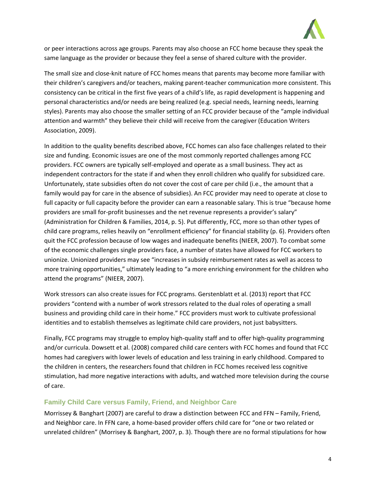

or peer interactions across age groups. Parents may also choose an FCC home because they speak the same language as the provider or because they feel a sense of shared culture with the provider.

The small size and close-knit nature of FCC homes means that parents may become more familiar with their children's caregivers and/or teachers, making parent-teacher communication more consistent. This consistency can be critical in the first five years of a child's life, as rapid development is happening and personal characteristics and/or needs are being realized (e.g. special needs, learning needs, learning styles). Parents may also choose the smaller setting of an FCC provider because of the "ample individual attention and warmth" they believe their child will receive from the caregiver (Education Writers Association, 2009).

In addition to the quality benefits described above, FCC homes can also face challenges related to their size and funding. Economic issues are one of the most commonly reported challenges among FCC providers. FCC owners are typically self‐employed and operate as a small business. They act as independent contractors for the state if and when they enroll children who qualify for subsidized care. Unfortunately, state subsidies often do not cover the cost of care per child (i.e., the amount that a family would pay for care in the absence of subsidies). An FCC provider may need to operate at close to full capacity or full capacity before the provider can earn a reasonable salary. This is true "because home providers are small for-profit businesses and the net revenue represents a provider's salary" (Administration for Children & Families, 2014, p. 5). Put differently, FCC, more so than other types of child care programs, relies heavily on "enrollment efficiency" for financial stability (p. 6). Providers often quit the FCC profession because of low wages and inadequate benefits (NIEER, 2007). To combat some of the economic challenges single providers face, a number of states have allowed for FCC workers to unionize. Unionized providers may see "increases in subsidy reimbursement rates as well as access to more training opportunities," ultimately leading to "a more enriching environment for the children who attend the programs" (NIEER, 2007).

Work stressors can also create issues for FCC programs. Gerstenblatt et al. (2013) report that FCC providers "contend with a number of work stressors related to the dual roles of operating a small business and providing child care in their home." FCC providers must work to cultivate professional identities and to establish themselves as legitimate child care providers, not just babysitters.

Finally, FCC programs may struggle to employ high‐quality staff and to offer high‐quality programming and/or curricula. Dowsett et al. (2008) compared child care centers with FCC homes and found that FCC homes had caregivers with lower levels of education and less training in early childhood. Compared to the children in centers, the researchers found that children in FCC homes received less cognitive stimulation, had more negative interactions with adults, and watched more television during the course of care.

## **Family Child Care versus Family, Friend, and Neighbor Care**

Morrissey & Banghart (2007) are careful to draw a distinction between FCC and FFN – Family, Friend, and Neighbor care. In FFN care, a home‐based provider offers child care for "one or two related or unrelated children" (Morrisey & Banghart, 2007, p. 3). Though there are no formal stipulations for how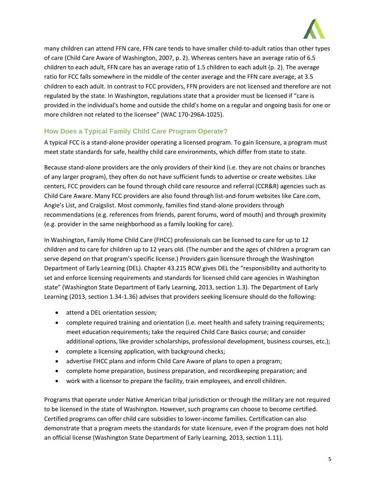

many children can attend FFN care, FFN care tends to have smaller child-to-adult ratios than other types of care (Child Care Aware of Washington, 2007, p. 2). Whereas centers have an average ratio of 6.5 children to each adult, FFN care has an average ratio of 1.5 children to each adult (p. 2). The average ratio for FCC falls somewhere in the middle of the center average and the FFN care average, at 3.5 children to each adult. In contrast to FCC providers, FFN providers are not licensed and therefore are not regulated by the state. In Washington, regulations state that a provider must be licensed if "care is provided in the individual's home and outside the child's home on a regular and ongoing basis for one or more children not related to the licensee" (WAC 170‐296A‐1025).

## **How Does a Typical Family Child Care Program Operate?**

A typical FCC is a stand‐alone provider operating a licensed program. To gain licensure, a program must meet state standards for safe, healthy child care environments, which differ from state to state.

Because stand‐alone providers are the only providers of their kind (i.e. they are not chains or branches of any larger program), they often do not have sufficient funds to advertise or create websites. Like centers, FCC providers can be found through child care resource and referral (CCR&R) agencies such as Child Care Aware. Many FCC providers are also found through list‐and‐forum websites like Care.com, Angie's List, and Craigslist. Most commonly, families find stand‐alone providers through recommendations (e.g. references from friends, parent forums, word of mouth) and through proximity (e.g. provider in the same neighborhood as a family looking for care).

In Washington, Family Home Child Care (FHCC) professionals can be licensed to care for up to 12 children and to care for children up to 12 years old. (The number and the ages of children a program can serve depend on that program's specific license.) Providers gain licensure through the Washington Department of Early Learning (DEL). Chapter 43.215 RCW gives DEL the "responsibility and authority to set and enforce licensing requirements and standards for licensed child care agencies in Washington state" (Washington State Department of Early Learning, 2013, section 1.3). The Department of Early Learning (2013, section 1.34‐1.36) advises that providers seeking licensure should do the following:

- attend a DEL orientation session;
- complete required training and orientation (i.e. meet health and safety training requirements; meet education requirements; take the required Child Care Basics course; and consider additional options, like provider scholarships, professional development, business courses, etc.);
- complete a licensing application, with background checks;
- advertise FHCC plans and inform Child Care Aware of plans to open a program;
- complete home preparation, business preparation, and recordkeeping preparation; and
- work with a licensor to prepare the facility, train employees, and enroll children.

Programs that operate under Native American tribal jurisdiction or through the military are not required to be licensed in the state of Washington. However, such programs can choose to become certified. Certified programs can offer child care subsidies to lower‐income families. Certification can also demonstrate that a program meets the standards for state licensure, even if the program does not hold an official license (Washington State Department of Early Learning, 2013, section 1.11).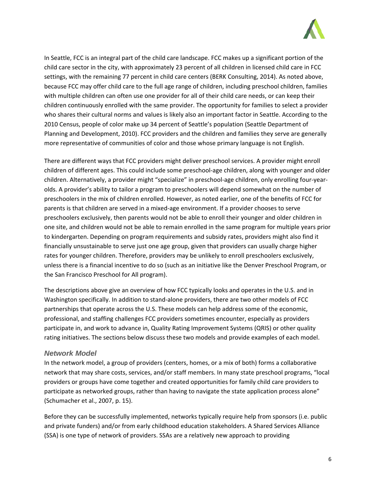

In Seattle, FCC is an integral part of the child care landscape. FCC makes up a significant portion of the child care sector in the city, with approximately 23 percent of all children in licensed child care in FCC settings, with the remaining 77 percent in child care centers (BERK Consulting, 2014). As noted above, because FCC may offer child care to the full age range of children, including preschool children, families with multiple children can often use one provider for all of their child care needs, or can keep their children continuously enrolled with the same provider. The opportunity for families to select a provider who shares their cultural norms and values is likely also an important factor in Seattle. According to the 2010 Census, people of color make up 34 percent of Seattle's population (Seattle Department of Planning and Development, 2010). FCC providers and the children and families they serve are generally more representative of communities of color and those whose primary language is not English.

There are different ways that FCC providers might deliver preschool services. A provider might enroll children of different ages. This could include some preschool‐age children, along with younger and older children. Alternatively, a provider might "specialize" in preschool‐age children, only enrolling four‐year‐ olds. A provider's ability to tailor a program to preschoolers will depend somewhat on the number of preschoolers in the mix of children enrolled. However, as noted earlier, one of the benefits of FCC for parents is that children are served in a mixed‐age environment. If a provider chooses to serve preschoolers exclusively, then parents would not be able to enroll their younger and older children in one site, and children would not be able to remain enrolled in the same program for multiple years prior to kindergarten. Depending on program requirements and subsidy rates, providers might also find it financially unsustainable to serve just one age group, given that providers can usually charge higher rates for younger children. Therefore, providers may be unlikely to enroll preschoolers exclusively, unless there is a financial incentive to do so (such as an initiative like the Denver Preschool Program, or the San Francisco Preschool for All program).

The descriptions above give an overview of how FCC typically looks and operates in the U.S. and in Washington specifically. In addition to stand-alone providers, there are two other models of FCC partnerships that operate across the U.S. These models can help address some of the economic, professional, and staffing challenges FCC providers sometimes encounter, especially as providers participate in, and work to advance in, Quality Rating Improvement Systems (QRIS) or other quality rating initiatives. The sections below discuss these two models and provide examples of each model.

## *Network Model*

In the network model, a group of providers (centers, homes, or a mix of both) forms a collaborative network that may share costs, services, and/or staff members. In many state preschool programs, "local providers or groups have come together and created opportunities for family child care providers to participate as networked groups, rather than having to navigate the state application process alone" (Schumacher et al., 2007, p. 15).

Before they can be successfully implemented, networks typically require help from sponsors (i.e. public and private funders) and/or from early childhood education stakeholders. A Shared Services Alliance (SSA) is one type of network of providers. SSAs are a relatively new approach to providing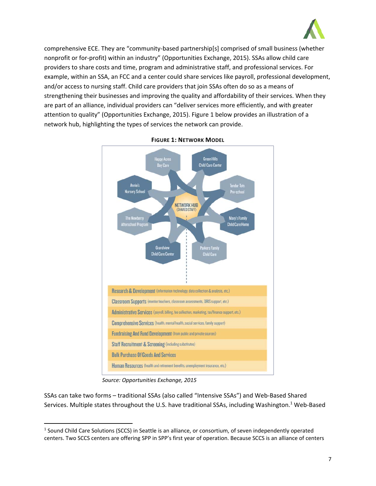

comprehensive ECE. They are "community‐based partnership[s] comprised of small business (whether nonprofit or for‐profit) within an industry" (Opportunities Exchange, 2015). SSAs allow child care providers to share costs and time, program and administrative staff, and professional services. For example, within an SSA, an FCC and a center could share services like payroll, professional development, and/or access to nursing staff. Child care providers that join SSAs often do so as a means of strengthening their businesses and improving the quality and affordability of their services. When they are part of an alliance, individual providers can "deliver services more efficiently, and with greater attention to quality" (Opportunities Exchange, 2015). Figure 1 below provides an illustration of a network hub, highlighting the types of services the network can provide.



#### **FIGURE 1: NETWORK MODEL**

*Source: Opportunities Exchange, 2015*

SSAs can take two forms – traditional SSAs (also called "Intensive SSAs") and Web‐Based Shared Services. Multiple states throughout the U.S. have traditional SSAs, including Washington.<sup>1</sup> Web-Based

<sup>1</sup> Sound Child Care Solutions (SCCS) in Seattle is an alliance, or consortium, of seven independently operated centers. Two SCCS centers are offering SPP in SPP's first year of operation. Because SCCS is an alliance of centers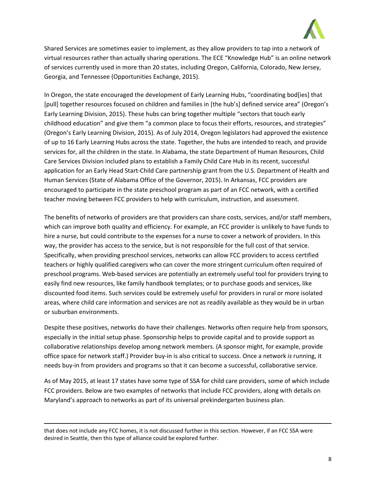

Shared Services are sometimes easier to implement, as they allow providers to tap into a network of virtual resources rather than actually sharing operations. The ECE "Knowledge Hub" is an online network of services currently used in more than 20 states, including Oregon, California, Colorado, New Jersey, Georgia, and Tennessee (Opportunities Exchange, 2015).

In Oregon, the state encouraged the development of Early Learning Hubs, "coordinating bod[ies] that [pull] together resources focused on children and families in [the hub's] defined service area" (Oregon's Early Learning Division, 2015). These hubs can bring together multiple "sectors that touch early childhood education" and give them "a common place to focus their efforts, resources, and strategies" (Oregon's Early Learning Division, 2015). As of July 2014, Oregon legislators had approved the existence of up to 16 Early Learning Hubs across the state. Together, the hubs are intended to reach, and provide services for, all the children in the state. In Alabama, the state Department of Human Resources, Child Care Services Division included plans to establish a Family Child Care Hub in its recent, successful application for an Early Head Start‐Child Care partnership grant from the U.S. Department of Health and Human Services (State of Alabama Office of the Governor, 2015). In Arkansas, FCC providers are encouraged to participate in the state preschool program as part of an FCC network, with a certified teacher moving between FCC providers to help with curriculum, instruction, and assessment.

The benefits of networks of providers are that providers can share costs, services, and/or staff members, which can improve both quality and efficiency. For example, an FCC provider is unlikely to have funds to hire a nurse, but could contribute to the expenses for a nurse to cover a network of providers. In this way, the provider has access to the service, but is not responsible for the full cost of that service. Specifically, when providing preschool services, networks can allow FCC providers to access certified teachers or highly qualified caregivers who can cover the more stringent curriculum often required of preschool programs. Web‐based services are potentially an extremely useful tool for providers trying to easily find new resources, like family handbook templates; or to purchase goods and services, like discounted food items. Such services could be extremely useful for providers in rural or more isolated areas, where child care information and services are not as readily available as they would be in urban or suburban environments.

Despite these positives, networks do have their challenges. Networks often require help from sponsors, especially in the initial setup phase. Sponsorship helps to provide capital and to provide support as collaborative relationships develop among network members. (A sponsor might, for example, provide office space for network staff.) Provider buy‐in is also critical to success. Once a network *is* running, it needs buy‐in from providers and programs so that it can become a successful, collaborative service.

As of May 2015, at least 17 states have some type of SSA for child care providers, some of which include FCC providers. Below are two examples of networks that include FCC providers, along with details on Maryland's approach to networks as part of its universal prekindergarten business plan.

<u> Andrewski politika (za obrazu za obrazu za obrazu za obrazu za obrazu za obrazu za obrazu za obrazu za obrazu</u>

that does not include any FCC homes, it is not discussed further in this section. However, if an FCC SSA were desired in Seattle, then this type of alliance could be explored further.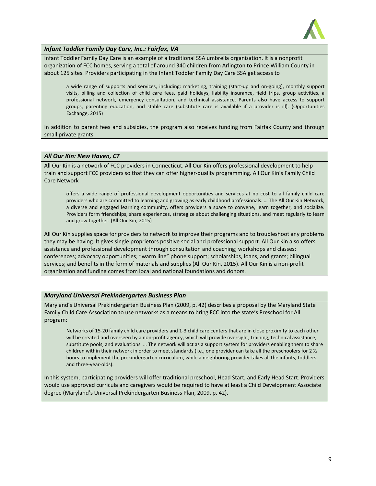

*Infant Toddler Family Day Care, Inc.: Fairfax, VA*

Infant Toddler Family Day Care is an example of a traditional SSA umbrella organization. It is a nonprofit organization of FCC homes, serving a total of around 340 children from Arlington to Prince William County in about 125 sites. Providers participating in the Infant Toddler Family Day Care SSA get access to

a wide range of supports and services, including: marketing, training (start‐up and on‐going), monthly support visits, billing and collection of child care fees, paid holidays, liability insurance, field trips, group activities, a professional network, emergency consultation, and technical assistance. Parents also have access to support groups, parenting education, and stable care (substitute care is available if a provider is ill). (Opportunities Exchange, 2015)

In addition to parent fees and subsidies, the program also receives funding from Fairfax County and through small private grants.

#### *All Our Kin: New Haven, CT*

All Our Kin is a network of FCC providers in Connecticut. All Our Kin offers professional development to help train and support FCC providers so that they can offer higher‐quality programming. All Our Kin's Family Child Care Network

offers a wide range of professional development opportunities and services at no cost to all family child care providers who are committed to learning and growing as early childhood professionals. … The All Our Kin Network, a diverse and engaged learning community, offers providers a space to convene, learn together, and socialize. Providers form friendships, share experiences, strategize about challenging situations, and meet regularly to learn and grow together. (All Our Kin, 2015)

All Our Kin supplies space for providers to network to improve their programs and to troubleshoot any problems they may be having. It gives single proprietors positive social and professional support. All Our Kin also offers assistance and professional development through consultation and coaching; workshops and classes; conferences; advocacy opportunities; "warm line" phone support; scholarships, loans, and grants; bilingual services; and benefits in the form of materials and supplies (All Our Kin, 2015). All Our Kin is a non‐profit organization and funding comes from local and national foundations and donors.

#### *Maryland Universal Prekindergarten Business Plan*

Maryland's Universal Prekindergarten Business Plan (2009, p. 42) describes a proposal by the Maryland State Family Child Care Association to use networks as a means to bring FCC into the state's Preschool for All program:

Networks of 15‐20 family child care providers and 1‐3 child care centers that are in close proximity to each other will be created and overseen by a non-profit agency, which will provide oversight, training, technical assistance, substitute pools, and evaluations. … The network will act as a support system for providers enabling them to share children within their network in order to meet standards (i.e., one provider can take all the preschoolers for 2 ½ hours to implement the prekindergarten curriculum, while a neighboring provider takes all the infants, toddlers, and three‐year‐olds).

In this system, participating providers will offer traditional preschool, Head Start, and Early Head Start. Providers would use approved curricula and caregivers would be required to have at least a Child Development Associate degree (Maryland's Universal Prekindergarten Business Plan, 2009, p. 42).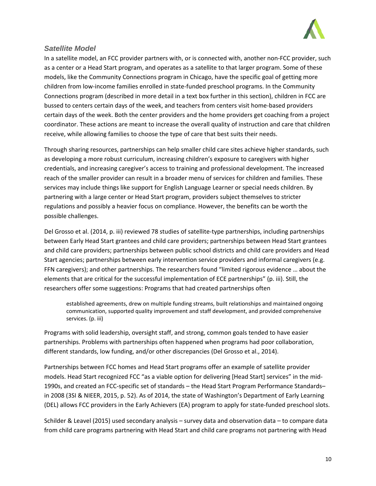

## *Satellite Model*

In a satellite model, an FCC provider partners with, or is connected with, another non‐FCC provider, such as a center or a Head Start program, and operates as a satellite to that larger program. Some of these models, like the Community Connections program in Chicago, have the specific goal of getting more children from low-income families enrolled in state-funded preschool programs. In the Community Connections program (described in more detail in a text box further in this section), children in FCC are bussed to centers certain days of the week, and teachers from centers visit home‐based providers certain days of the week. Both the center providers and the home providers get coaching from a project coordinator. These actions are meant to increase the overall quality of instruction and care that children receive, while allowing families to choose the type of care that best suits their needs.

Through sharing resources, partnerships can help smaller child care sites achieve higher standards, such as developing a more robust curriculum, increasing children's exposure to caregivers with higher credentials, and increasing caregiver's access to training and professional development. The increased reach of the smaller provider can result in a broader menu of services for children and families. These services may include things like support for English Language Learner or special needs children. By partnering with a large center or Head Start program, providers subject themselves to stricter regulations and possibly a heavier focus on compliance. However, the benefits can be worth the possible challenges.

Del Grosso et al. (2014, p. iii) reviewed 78 studies of satellite-type partnerships, including partnerships between Early Head Start grantees and child care providers; partnerships between Head Start grantees and child care providers; partnerships between public school districts and child care providers and Head Start agencies; partnerships between early intervention service providers and informal caregivers (e.g. FFN caregivers); and other partnerships. The researchers found "limited rigorous evidence … about the elements that are critical for the successful implementation of ECE partnerships" (p. iii). Still, the researchers offer some suggestions: Programs that had created partnerships often

established agreements, drew on multiple funding streams, built relationships and maintained ongoing communication, supported quality improvement and staff development, and provided comprehensive services. (p. iii)

Programs with solid leadership, oversight staff, and strong, common goals tended to have easier partnerships. Problems with partnerships often happened when programs had poor collaboration, different standards, low funding, and/or other discrepancies (Del Grosso et al., 2014).

Partnerships between FCC homes and Head Start programs offer an example of satellite provider models. Head Start recognized FCC "as a viable option for delivering [Head Start] services" in the mid-1990s, and created an FCC‐specific set of standards – the Head Start Program Performance Standards– in 2008 (3SI & NIEER, 2015, p. 52). As of 2014, the state of Washington's Department of Early Learning (DEL) allows FCC providers in the Early Achievers (EA) program to apply for state‐funded preschool slots.

Schilder & Leavel (2015) used secondary analysis – survey data and observation data – to compare data from child care programs partnering with Head Start and child care programs not partnering with Head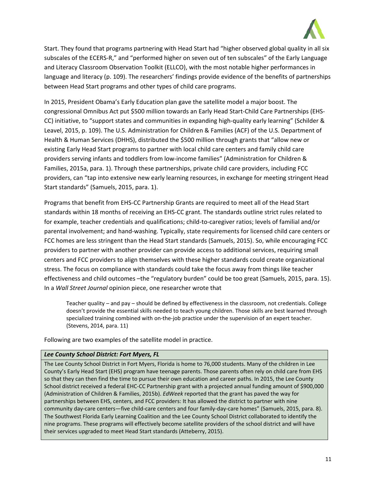

Start. They found that programs partnering with Head Start had "higher observed global quality in all six subscales of the ECERS-R," and "performed higher on seven out of ten subscales" of the Early Language and Literacy Classroom Observation Toolkit (ELLCO), with the most notable higher performances in language and literacy (p. 109). The researchers' findings provide evidence of the benefits of partnerships between Head Start programs and other types of child care programs.

In 2015, President Obama's Early Education plan gave the satellite model a major boost. The congressional Omnibus Act put \$500 million towards an Early Head Start‐Child Care Partnerships (EHS‐ CC) initiative, to "support states and communities in expanding high‐quality early learning" (Schilder & Leavel, 2015, p. 109). The U.S. Administration for Children & Families (ACF) of the U.S. Department of Health & Human Services (DHHS), distributed the \$500 million through grants that "allow new or existing Early Head Start programs to partner with local child care centers and family child care providers serving infants and toddlers from low‐income families" (Administration for Children & Families, 2015a, para. 1). Through these partnerships, private child care providers, including FCC providers, can "tap into extensive new early learning resources, in exchange for meeting stringent Head Start standards" (Samuels, 2015, para. 1).

Programs that benefit from EHS‐CC Partnership Grants are required to meet all of the Head Start standards within 18 months of receiving an EHS‐CC grant. The standards outline strict rules related to for example, teacher credentials and qualifications; child-to-caregiver ratios; levels of familial and/or parental involvement; and hand‐washing. Typically, state requirements for licensed child care centers or FCC homes are less stringent than the Head Start standards (Samuels, 2015). So, while encouraging FCC providers to partner with another provider can provide access to additional services, requiring small centers and FCC providers to align themselves with these higher standards could create organizational stress. The focus on compliance with standards could take the focus away from things like teacher effectiveness and child outcomes –the "regulatory burden" could be too great (Samuels, 2015, para. 15). In a *Wall Street Journal* opinion piece, one researcher wrote that

Teacher quality – and pay – should be defined by effectiveness in the classroom, not credentials. College doesn't provide the essential skills needed to teach young children. Those skills are best learned through specialized training combined with on-the-job practice under the supervision of an expert teacher. (Stevens, 2014, para. 11)

Following are two examples of the satellite model in practice.

#### *Lee County School District: Fort Myers, FL*

The Lee County School District in Fort Myers, Florida is home to 76,000 students. Many of the children in Lee County's Early Head Start (EHS) program have teenage parents. Those parents often rely on child care from EHS so that they can then find the time to pursue their own education and career paths. In 2015, the Lee County School district received a federal EHC‐CC Partnership grant with a projected annual funding amount of \$900,000 (Administration of Children & Families, 2015b). *EdWeek* reported that the grant has paved the way for partnerships between EHS, centers, and FCC providers: It has allowed the district to partner with nine community day-care centers—five child-care centers and four family-day-care homes" (Samuels, 2015, para. 8). The Southwest Florida Early Learning Coalition and the Lee County School District collaborated to identify the nine programs. These programs will effectively become satellite providers of the school district and will have their services upgraded to meet Head Start standards (Atteberry, 2015).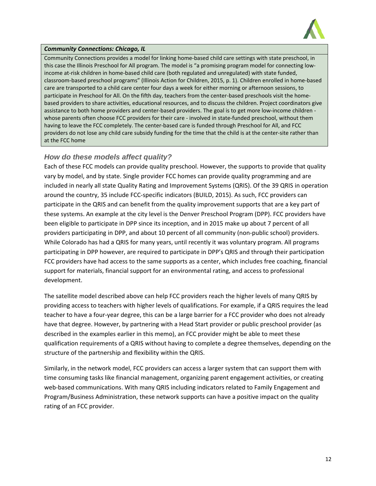

#### *Community Connections: Chicago, IL*

Community Connections provides a model for linking home‐based child care settings with state preschool, in this case the Illinois Preschool for All program. The model is "a promising program model for connecting low‐ income at-risk children in home-based child care (both regulated and unregulated) with state funded, classroom‐based preschool programs" (Illinois Action for Children, 2015, p. 1). Children enrolled in home‐based care are transported to a child care center four days a week for either morning or afternoon sessions, to participate in Preschool for All. On the fifth day, teachers from the center-based preschools visit the homebased providers to share activities, educational resources, and to discuss the children. Project coordinators give assistance to both home providers and center-based providers. The goal is to get more low-income children whose parents often choose FCC providers for their care - involved in state-funded preschool, without them having to leave the FCC completely. The center-based care is funded through Preschool for All, and FCC providers do not lose any child care subsidy funding for the time that the child is at the center‐site rather than at the FCC home

## *How do these models affect quality?*

Each of these FCC models can provide quality preschool. However, the supports to provide that quality vary by model, and by state. Single provider FCC homes can provide quality programming and are included in nearly all state Quality Rating and Improvement Systems (QRIS). Of the 39 QRIS in operation around the country, 35 include FCC‐specific indicators (BUILD, 2015). As such, FCC providers can participate in the QRIS and can benefit from the quality improvement supports that are a key part of these systems. An example at the city level is the Denver Preschool Program (DPP). FCC providers have been eligible to participate in DPP since its inception, and in 2015 make up about 7 percent of all providers participating in DPP, and about 10 percent of all community (non-public school) providers. While Colorado has had a QRIS for many years, until recently it was voluntary program. All programs participating in DPP however, are required to participate in DPP's QRIS and through their participation FCC providers have had access to the same supports as a center, which includes free coaching, financial support for materials, financial support for an environmental rating, and access to professional development.

The satellite model described above can help FCC providers reach the higher levels of many QRIS by providing access to teachers with higher levels of qualifications. For example, if a QRIS requires the lead teacher to have a four‐year degree, this can be a large barrier for a FCC provider who does not already have that degree. However, by partnering with a Head Start provider or public preschool provider (as described in the examples earlier in this memo), an FCC provider might be able to meet these qualification requirements of a QRIS without having to complete a degree themselves, depending on the structure of the partnership and flexibility within the QRIS.

Similarly, in the network model, FCC providers can access a larger system that can support them with time consuming tasks like financial management, organizing parent engagement activities, or creating web-based communications. With many QRIS including indicators related to Family Engagement and Program/Business Administration, these network supports can have a positive impact on the quality rating of an FCC provider.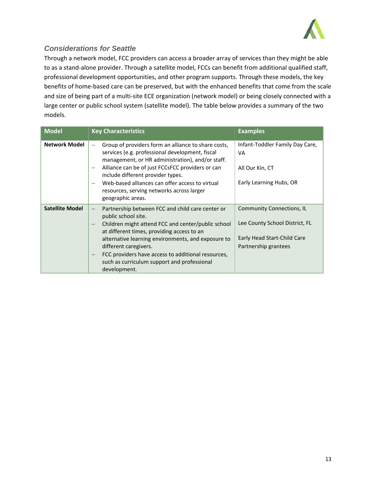

## *Considerations for Seattle*

Through a network model, FCC providers can access a broader array of services than they might be able to as a stand‐alone provider. Through a satellite model, FCCs can benefit from additional qualified staff, professional development opportunities, and other program supports. Through these models, the key benefits of home‐based care can be preserved, but with the enhanced benefits that come from the scale and size of being part of a multi-site ECE organization (network model) or being closely connected with a large center or public school system (satellite model). The table below provides a summary of the two models.

| <b>Model</b>           | <b>Key Characteristics</b>                                                                                                                                                                                                                                                                                                                                                                                                                                          | <b>Examples</b>                                                                                                           |
|------------------------|---------------------------------------------------------------------------------------------------------------------------------------------------------------------------------------------------------------------------------------------------------------------------------------------------------------------------------------------------------------------------------------------------------------------------------------------------------------------|---------------------------------------------------------------------------------------------------------------------------|
| <b>Network Model</b>   | Group of providers form an alliance to share costs,<br>$\overline{\phantom{m}}$<br>services (e.g. professional development, fiscal<br>management, or HR administration), and/or staff.<br>Alliance can be of just FCCsFCC providers or can<br>$\qquad \qquad -$<br>include different provider types.<br>Web-based alliances can offer access to virtual<br>$\overline{\phantom{m}}$<br>resources, serving networks across larger<br>geographic areas.               | Infant-Toddler Family Day Care,<br>VA<br>All Our Kin, CT<br>Early Learning Hubs, OR                                       |
| <b>Satellite Model</b> | Partnership between FCC and child care center or<br>$\overline{\phantom{m}}$<br>public school site.<br>Children might attend FCC and center/public school<br>$\overline{\phantom{m}}$<br>at different times, providing access to an<br>alternative learning environments, and exposure to<br>different caregivers.<br>FCC providers have access to additional resources,<br>$\overline{\phantom{m}}$<br>such as curriculum support and professional<br>development. | <b>Community Connections, IL</b><br>Lee County School District, FL<br>Early Head Start-Child Care<br>Partnership grantees |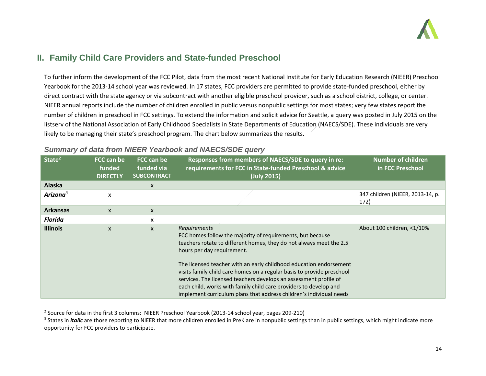

# **II. Family Child Care Providers and State-funded Preschool**

To further inform the development of the FCC Pilot, data from the most recent National Institute for Early Education Research (NIEER) Preschool Yearbook for the 2013‐14 school year was reviewed. In 17 states, FCC providers are permitted to provide state‐funded preschool, either by direct contract with the state agency or via subcontract with another eligible preschool provider, such as <sup>a</sup> school district, college, or center. NIEER annual reports include the number of children enrolled in public versus nonpublic settings for most states; very few states report the number of children in preschool in FCC settings. To extend the information and solicit advice for Seattle, <sup>a</sup> query was posted in July 2015 on the listserv of the National Association of Early Childhood Specialists in State Departments of Education (NAECS/SDE). These individuals are very likely to be managing their state's preschool program. The chart below summarizes the results.

| State <sup>2</sup>   | FCC can be<br>funded<br><b>DIRECTLY</b> | FCC can be<br>funded via<br><b>SUBCONTRACT</b> | Responses from members of NAECS/SDE to query in re:<br>requirements for FCC in State-funded Preschool & advice<br>(July 2015)                                                                                                                                                                                                                                 | <b>Number of children</b><br>in FCC Preschool |
|----------------------|-----------------------------------------|------------------------------------------------|---------------------------------------------------------------------------------------------------------------------------------------------------------------------------------------------------------------------------------------------------------------------------------------------------------------------------------------------------------------|-----------------------------------------------|
| <b>Alaska</b>        |                                         | X                                              |                                                                                                                                                                                                                                                                                                                                                               |                                               |
| Arizona <sup>3</sup> | X                                       |                                                |                                                                                                                                                                                                                                                                                                                                                               | 347 children (NIEER, 2013-14, p.<br>172)      |
| <b>Arkansas</b>      | $\mathsf{x}$                            | $\mathsf{x}$                                   |                                                                                                                                                                                                                                                                                                                                                               |                                               |
| <b>Florida</b>       |                                         | X                                              |                                                                                                                                                                                                                                                                                                                                                               |                                               |
| <b>Illinois</b>      | $\mathsf{x}$                            | $\boldsymbol{\mathsf{x}}$                      | Requirements<br>FCC homes follow the majority of requirements, but because<br>teachers rotate to different homes, they do not always meet the 2.5<br>hours per day requirement.                                                                                                                                                                               | About 100 children, <1/10%                    |
|                      |                                         |                                                | The licensed teacher with an early childhood education endorsement<br>visits family child care homes on a regular basis to provide preschool<br>services. The licensed teachers develops an assessment profile of<br>each child, works with family child care providers to develop and<br>implement curriculum plans that address children's individual needs |                                               |

## *Summary of data from NIEER Yearbook and NAECS/SDE query*

<sup>&</sup>lt;sup>2</sup> Source for data in the first 3 columns: NIEER Preschool Yearbook (2013-14 school year, pages 209-210)

<sup>&</sup>lt;sup>3</sup> States in *italic* are those reporting to NIEER that more children enrolled in PreK are in nonpublic settings than in public settings, which might indicate more opportunity for FCC providers to participate.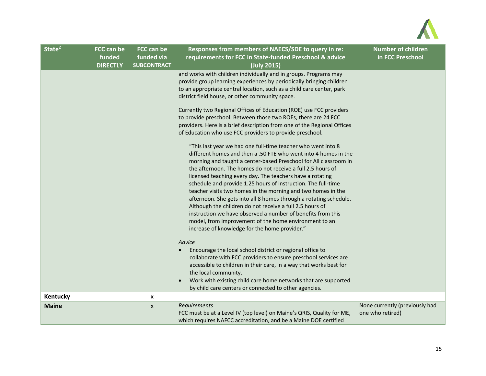

| State <sup>2</sup> | <b>FCC can be</b><br>funded<br><b>DIRECTLY</b> | FCC can be<br>funded via<br><b>SUBCONTRACT</b> | Responses from members of NAECS/SDE to query in re:<br>requirements for FCC in State-funded Preschool & advice<br>(July 2015)                                                                                                                                                                                                                                                                                                                                                                                                                                                                                                                                                                                                                                                                                                                                                                                                                                                                                                                                                                                                                                                                                                                                                                                                                                                                                                                                                                                                                                                                                                                                                                                                   | <b>Number of children</b><br>in FCC Preschool      |
|--------------------|------------------------------------------------|------------------------------------------------|---------------------------------------------------------------------------------------------------------------------------------------------------------------------------------------------------------------------------------------------------------------------------------------------------------------------------------------------------------------------------------------------------------------------------------------------------------------------------------------------------------------------------------------------------------------------------------------------------------------------------------------------------------------------------------------------------------------------------------------------------------------------------------------------------------------------------------------------------------------------------------------------------------------------------------------------------------------------------------------------------------------------------------------------------------------------------------------------------------------------------------------------------------------------------------------------------------------------------------------------------------------------------------------------------------------------------------------------------------------------------------------------------------------------------------------------------------------------------------------------------------------------------------------------------------------------------------------------------------------------------------------------------------------------------------------------------------------------------------|----------------------------------------------------|
|                    |                                                |                                                | and works with children individually and in groups. Programs may<br>provide group learning experiences by periodically bringing children<br>to an appropriate central location, such as a child care center, park<br>district field house, or other community space.<br>Currently two Regional Offices of Education (ROE) use FCC providers<br>to provide preschool. Between those two ROEs, there are 24 FCC<br>providers. Here is a brief description from one of the Regional Offices<br>of Education who use FCC providers to provide preschool.<br>"This last year we had one full-time teacher who went into 8<br>different homes and then a .50 FTE who went into 4 homes in the<br>morning and taught a center-based Preschool for All classroom in<br>the afternoon. The homes do not receive a full 2.5 hours of<br>licensed teaching every day. The teachers have a rotating<br>schedule and provide 1.25 hours of instruction. The full-time<br>teacher visits two homes in the morning and two homes in the<br>afternoon. She gets into all 8 homes through a rotating schedule.<br>Although the children do not receive a full 2.5 hours of<br>instruction we have observed a number of benefits from this<br>model, from improvement of the home environment to an<br>increase of knowledge for the home provider."<br>Advice<br>Encourage the local school district or regional office to<br>$\bullet$<br>collaborate with FCC providers to ensure preschool services are<br>accessible to children in their care, in a way that works best for<br>the local community.<br>Work with existing child care home networks that are supported<br>$\bullet$<br>by child care centers or connected to other agencies. |                                                    |
| Kentucky           |                                                | X                                              |                                                                                                                                                                                                                                                                                                                                                                                                                                                                                                                                                                                                                                                                                                                                                                                                                                                                                                                                                                                                                                                                                                                                                                                                                                                                                                                                                                                                                                                                                                                                                                                                                                                                                                                                 |                                                    |
| <b>Maine</b>       |                                                | $\boldsymbol{x}$                               | Requirements<br>FCC must be at a Level IV (top level) on Maine's QRIS, Quality for ME,<br>which requires NAFCC accreditation, and be a Maine DOE certified                                                                                                                                                                                                                                                                                                                                                                                                                                                                                                                                                                                                                                                                                                                                                                                                                                                                                                                                                                                                                                                                                                                                                                                                                                                                                                                                                                                                                                                                                                                                                                      | None currently (previously had<br>one who retired) |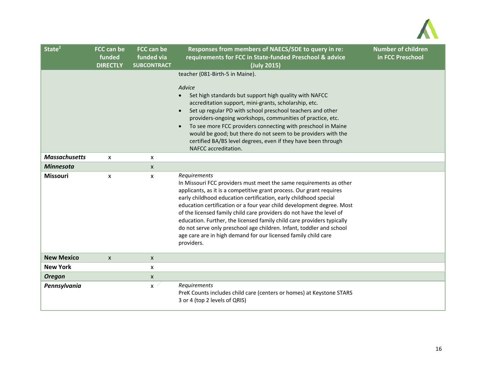

| State <sup>2</sup>   | <b>FCC can be</b><br>funded<br><b>DIRECTLY</b> | <b>FCC can be</b><br>funded via<br><b>SUBCONTRACT</b> | Responses from members of NAECS/SDE to query in re:<br>requirements for FCC in State-funded Preschool & advice<br>(July 2015)                                                                                                                                                                                                                                                                                                                                                                                                                                                                                     | <b>Number of children</b><br>in FCC Preschool |
|----------------------|------------------------------------------------|-------------------------------------------------------|-------------------------------------------------------------------------------------------------------------------------------------------------------------------------------------------------------------------------------------------------------------------------------------------------------------------------------------------------------------------------------------------------------------------------------------------------------------------------------------------------------------------------------------------------------------------------------------------------------------------|-----------------------------------------------|
|                      |                                                |                                                       | teacher (081-Birth-5 in Maine).<br>Advice<br>Set high standards but support high quality with NAFCC<br>$\bullet$<br>accreditation support, mini-grants, scholarship, etc.<br>Set up regular PD with school preschool teachers and other<br>providers-ongoing workshops, communities of practice, etc.<br>To see more FCC providers connecting with preschool in Maine<br>$\bullet$<br>would be good; but there do not seem to be providers with the<br>certified BA/BS level degrees, even if they have been through<br>NAFCC accreditation.                                                                      |                                               |
| <b>Massachusetts</b> | $\mathsf{x}$                                   | X                                                     |                                                                                                                                                                                                                                                                                                                                                                                                                                                                                                                                                                                                                   |                                               |
| <b>Minnesota</b>     |                                                | X                                                     |                                                                                                                                                                                                                                                                                                                                                                                                                                                                                                                                                                                                                   |                                               |
| <b>Missouri</b>      | $\boldsymbol{\mathsf{x}}$                      | X                                                     | Requirements<br>In Missouri FCC providers must meet the same requirements as other<br>applicants, as it is a competitive grant process. Our grant requires<br>early childhood education certification, early childhood special<br>education certification or a four year child development degree. Most<br>of the licensed family child care providers do not have the level of<br>education. Further, the licensed family child care providers typically<br>do not serve only preschool age children. Infant, toddler and school<br>age care are in high demand for our licensed family child care<br>providers. |                                               |
| <b>New Mexico</b>    | $\mathsf{x}$                                   | $\boldsymbol{\mathsf{X}}$                             |                                                                                                                                                                                                                                                                                                                                                                                                                                                                                                                                                                                                                   |                                               |
| <b>New York</b>      |                                                | X                                                     |                                                                                                                                                                                                                                                                                                                                                                                                                                                                                                                                                                                                                   |                                               |
| <b>Oregon</b>        |                                                | X                                                     |                                                                                                                                                                                                                                                                                                                                                                                                                                                                                                                                                                                                                   |                                               |
| Pennsylvania         |                                                | $\pmb{\mathsf{x}}$                                    | Requirements<br>PreK Counts includes child care (centers or homes) at Keystone STARS<br>3 or 4 (top 2 levels of QRIS)                                                                                                                                                                                                                                                                                                                                                                                                                                                                                             |                                               |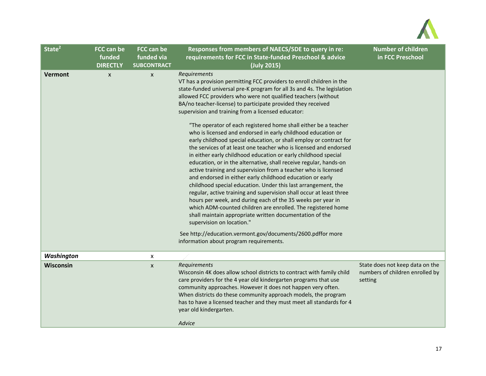

| State <sup>2</sup> | <b>FCC can be</b><br>funded<br><b>DIRECTLY</b> | FCC can be<br>funded via<br><b>SUBCONTRACT</b> | Responses from members of NAECS/SDE to query in re:<br>requirements for FCC in State-funded Preschool & advice<br>(July 2015)                                                                                                                                                                                                                                                                                                                                                                                                                                                                                                                                                                                                                                                                                                                                                                                                                                                                                                                                                                                                                                                                                                                                                                                                              | <b>Number of children</b><br>in FCC Preschool                                 |
|--------------------|------------------------------------------------|------------------------------------------------|--------------------------------------------------------------------------------------------------------------------------------------------------------------------------------------------------------------------------------------------------------------------------------------------------------------------------------------------------------------------------------------------------------------------------------------------------------------------------------------------------------------------------------------------------------------------------------------------------------------------------------------------------------------------------------------------------------------------------------------------------------------------------------------------------------------------------------------------------------------------------------------------------------------------------------------------------------------------------------------------------------------------------------------------------------------------------------------------------------------------------------------------------------------------------------------------------------------------------------------------------------------------------------------------------------------------------------------------|-------------------------------------------------------------------------------|
| Vermont            | $\boldsymbol{\mathsf{x}}$                      | $\boldsymbol{x}$                               | Requirements<br>VT has a provision permitting FCC providers to enroll children in the<br>state-funded universal pre-K program for all 3s and 4s. The legislation<br>allowed FCC providers who were not qualified teachers (without<br>BA/no teacher-license) to participate provided they received<br>supervision and training from a licensed educator:<br>"The operator of each registered home shall either be a teacher<br>who is licensed and endorsed in early childhood education or<br>early childhood special education, or shall employ or contract for<br>the services of at least one teacher who is licensed and endorsed<br>in either early childhood education or early childhood special<br>education, or in the alternative, shall receive regular, hands-on<br>active training and supervision from a teacher who is licensed<br>and endorsed in either early childhood education or early<br>childhood special education. Under this last arrangement, the<br>regular, active training and supervision shall occur at least three<br>hours per week, and during each of the 35 weeks per year in<br>which ADM-counted children are enrolled. The registered home<br>shall maintain appropriate written documentation of the<br>supervision on location."<br>See http://education.vermont.gov/documents/2600.pdffor more |                                                                               |
|                    |                                                |                                                | information about program requirements.                                                                                                                                                                                                                                                                                                                                                                                                                                                                                                                                                                                                                                                                                                                                                                                                                                                                                                                                                                                                                                                                                                                                                                                                                                                                                                    |                                                                               |
| Washington         |                                                | X                                              |                                                                                                                                                                                                                                                                                                                                                                                                                                                                                                                                                                                                                                                                                                                                                                                                                                                                                                                                                                                                                                                                                                                                                                                                                                                                                                                                            |                                                                               |
| Wisconsin          |                                                | $\boldsymbol{x}$                               | Requirements<br>Wisconsin 4K does allow school districts to contract with family child<br>care providers for the 4 year old kindergarten programs that use<br>community approaches. However it does not happen very often.<br>When districts do these community approach models, the program<br>has to have a licensed teacher and they must meet all standards for 4<br>year old kindergarten.<br>Advice                                                                                                                                                                                                                                                                                                                                                                                                                                                                                                                                                                                                                                                                                                                                                                                                                                                                                                                                  | State does not keep data on the<br>numbers of children enrolled by<br>setting |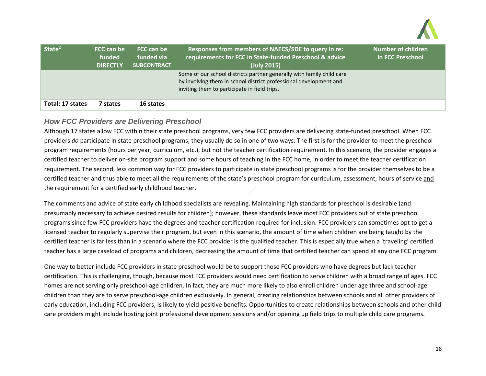

| State <sup>2</sup> | FCC can be<br>funded<br><b>DIRECTLY</b> | FCC can be<br>funded via<br><b>SUBCONTRACT</b> | Responses from members of NAECS/SDE to query in re:<br>requirements for FCC in State-funded Preschool & advice<br>(July 2015)                                                              | <b>Number of children</b><br>in FCC Preschool |
|--------------------|-----------------------------------------|------------------------------------------------|--------------------------------------------------------------------------------------------------------------------------------------------------------------------------------------------|-----------------------------------------------|
|                    |                                         |                                                | Some of our school districts partner generally with family child care<br>by involving them in school district professional development and<br>inviting them to participate in field trips. |                                               |
| Total: 17 states   | 7 states                                | 16 states                                      |                                                                                                                                                                                            |                                               |

## *How FCC Providers are Delivering Preschool*

Although 17 states allow FCC within their state preschool programs, very few FCC providers are delivering state‐funded preschool. When FCC providers *do* participate in state preschool programs, they usually do so in one of two ways: The first is for the provider to meet the preschool program requirements (hours per year, curriculum, etc.), but not the teacher certification requirement. In this scenario, the provider engages <sup>a</sup> certified teacher to deliver on‐site program support and some hours of teaching in the FCC home, in order to meet the teacher certification requirement. The second, less common way for FCC providers to participate in state preschool programs is for the provider themselves to be <sup>a</sup> certified teacher and thus able to meet all the requirements of the state's preschool program for curriculum, assessment, hours of service and the requirement for <sup>a</sup> certified early childhood teacher.

The comments and advice of state early childhood specialists are revealing. Maintaining high standards for preschool is desirable (and presumably necessary to achieve desired results for children); however, these standards leave most FCC providers out of state preschool programs since few FCC providers have the degrees and teacher certification required for inclusion. FCC providers can sometimes opt to get <sup>a</sup> licensed teacher to regularly supervise their program, but even in this scenario, the amount of time when children are being taught by the certified teacher is far less than in <sup>a</sup> scenario where the FCC provider is the qualified teacher. This is especially true when <sup>a</sup> 'traveling' certified teacher has a large caseload of programs and children, decreasing the amount of time that certified teacher can spend at any one FCC program.

One way to better include FCC providers in state preschool would be to support those FCC providers who have degrees but lack teacher certification. This is challenging, though, because most FCC providers would need certification to serve children with <sup>a</sup> broad range of ages. FCC homes are not serving only preschool‐age children. In fact, they are much more likely to also enroll children under age three and school‐age children than they are to serve preschool‐age children exclusively. In general, creating relationships between schools and all other providers of early education, including FCC providers, is likely to yield positive benefits. Opportunities to create relationships between schools and other child care providers might include hosting joint professional development sessions and/or opening up field trips to multiple child care programs.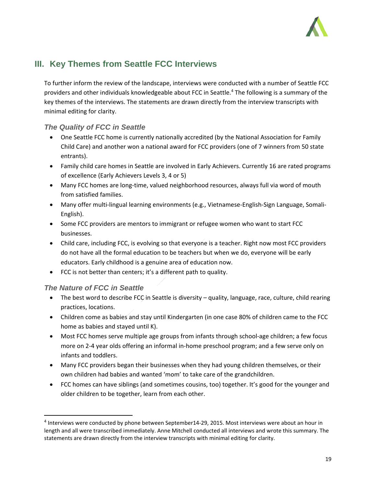

# **III. Key Themes from Seattle FCC Interviews**

To further inform the review of the landscape, interviews were conducted with a number of Seattle FCC providers and other individuals knowledgeable about FCC in Seattle.4 The following is a summary of the key themes of the interviews. The statements are drawn directly from the interview transcripts with minimal editing for clarity.

## *The Quality of FCC in Seattle*

- One Seattle FCC home is currently nationally accredited (by the National Association for Family Child Care) and another won a national award for FCC providers (one of 7 winners from 50 state entrants).
- Family child care homes in Seattle are involved in Early Achievers. Currently 16 are rated programs of excellence (Early Achievers Levels 3, 4 or 5)
- Many FCC homes are long-time, valued neighborhood resources, always full via word of mouth from satisfied families.
- Many offer multi-lingual learning environments (e.g., Vietnamese-English-Sign Language, Somali-English).
- Some FCC providers are mentors to immigrant or refugee women who want to start FCC businesses.
- Child care, including FCC, is evolving so that everyone is a teacher. Right now most FCC providers do not have all the formal education to be teachers but when we do, everyone will be early educators. Early childhood is a genuine area of education now.
- FCC is not better than centers; it's a different path to quality.

## *The Nature of FCC in Seattle*

- The best word to describe FCC in Seattle is diversity quality, language, race, culture, child rearing practices, locations.
- Children come as babies and stay until Kindergarten (in one case 80% of children came to the FCC home as babies and stayed until K).
- Most FCC homes serve multiple age groups from infants through school‐age children; a few focus more on 2‐4 year olds offering an informal in‐home preschool program; and a few serve only on infants and toddlers.
- Many FCC providers began their businesses when they had young children themselves, or their own children had babies and wanted 'mom' to take care of the grandchildren.
- FCC homes can have siblings (and sometimes cousins, too) together. It's good for the younger and older children to be together, learn from each other.

<sup>4</sup> Interviews were conducted by phone between September14‐29, 2015. Most interviews were about an hour in length and all were transcribed immediately. Anne Mitchell conducted all interviews and wrote this summary. The statements are drawn directly from the interview transcripts with minimal editing for clarity.